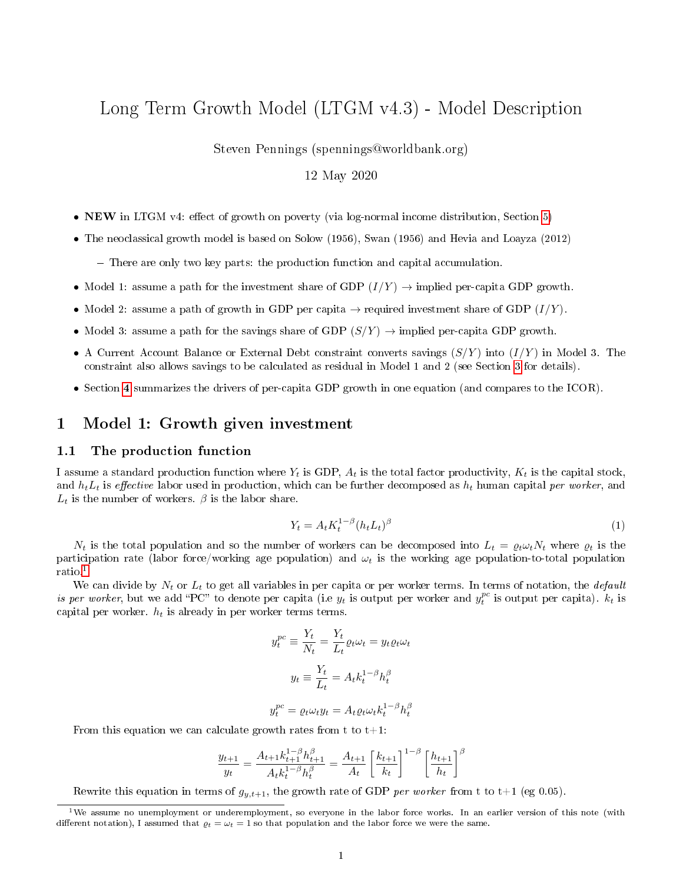# Long Term Growth Model (LTGM v4.3) - Model Description

Steven Pennings (spennings@worldbank.org)

### 12 May 2020

- NEW in LTGM v4: effect of growth on poverty (via log-normal income distribution, Section [5\)](#page-7-0)
- The neoclassical growth model is based on Solow (1956), Swan (1956) and Hevia and Loayza (2012)
	- There are only two key parts: the production function and capital accumulation.
- Model 1: assume a path for the investment share of GDP  $(I/Y) \rightarrow$  implied per-capita GDP growth.
- Model 2: assume a path of growth in GDP per capita  $\rightarrow$  required investment share of GDP  $(I/Y)$ .
- Model 3: assume a path for the savings share of GDP  $(S/Y) \rightarrow$  implied per-capita GDP growth.
- A Current Account Balance or External Debt constraint converts savings  $(S/Y)$  into  $(I/Y)$  in Model 3. The constraint also allows savings to be calculated as residual in Model 1 and 2 (see Section [3](#page-4-0) for details).
- Section [4](#page-5-0) summarizes the drivers of per-capita GDP growth in one equation (and compares to the ICOR).

### 1 Model 1: Growth given investment

#### 1.1 The production function

I assume a standard production function where  $Y_t$  is GDP,  $A_t$  is the total factor productivity,  $K_t$  is the capital stock, and  $h_tL_t$  is effective labor used in production, which can be further decomposed as  $h_t$  human capital per worker, and  $L_t$  is the number of workers.  $\beta$  is the labor share.

$$
Y_t = A_t K_t^{1-\beta} (h_t L_t)^{\beta} \tag{1}
$$

 $N_t$  is the total population and so the number of workers can be decomposed into  $L_t = \varrho_t \omega_t N_t$  where  $\varrho_t$  is the participation rate (labor force/working age population) and  $\omega_t$  is the working age population-to-total population ratio.[1](#page-0-0)

We can divide by  $N_t$  or  $L_t$  to get all variables in per capita or per worker terms. In terms of notation, the *default* is per worker, but we add "PC" to denote per capita (i.e  $y_t$  is output per worker and  $y_t^{pc}$  is output per capita).  $k_t$  is capital per worker.  $h_t$  is already in per worker terms terms.

$$
y_t^{pc} \equiv \frac{Y_t}{N_t} = \frac{Y_t}{L_t} \varrho_t \omega_t = y_t \varrho_t \omega_t
$$

$$
y_t \equiv \frac{Y_t}{L_t} = A_t k_t^{1-\beta} h_t^{\beta}
$$

$$
y_t^{pc} = \varrho_t \omega_t y_t = A_t \varrho_t \omega_t k_t^{1-\beta} h_t^{\beta}
$$

From this equation we can calculate growth rates from t to  $t+1$ :

$$
\frac{y_{t+1}}{y_t} = \frac{A_{t+1}k_{t+1}^{1-\beta}h_{t+1}^{\beta}}{A_t k_t^{1-\beta}h_t^{\beta}} = \frac{A_{t+1}}{A_t} \left[\frac{k_{t+1}}{k_t}\right]^{1-\beta} \left[\frac{h_{t+1}}{h_t}\right]^{\beta}
$$

Rewrite this equation in terms of  $g_{y,t+1}$ , the growth rate of GDP per worker from t to t+1 (eg 0.05).

<span id="page-0-0"></span><sup>&</sup>lt;sup>1</sup>We assume no unemployment or underemployment, so everyone in the labor force works. In an earlier version of this note (with different notation), I assumed that  $\varrho_t = \omega_t = 1$  so that population and the labor force we were the same.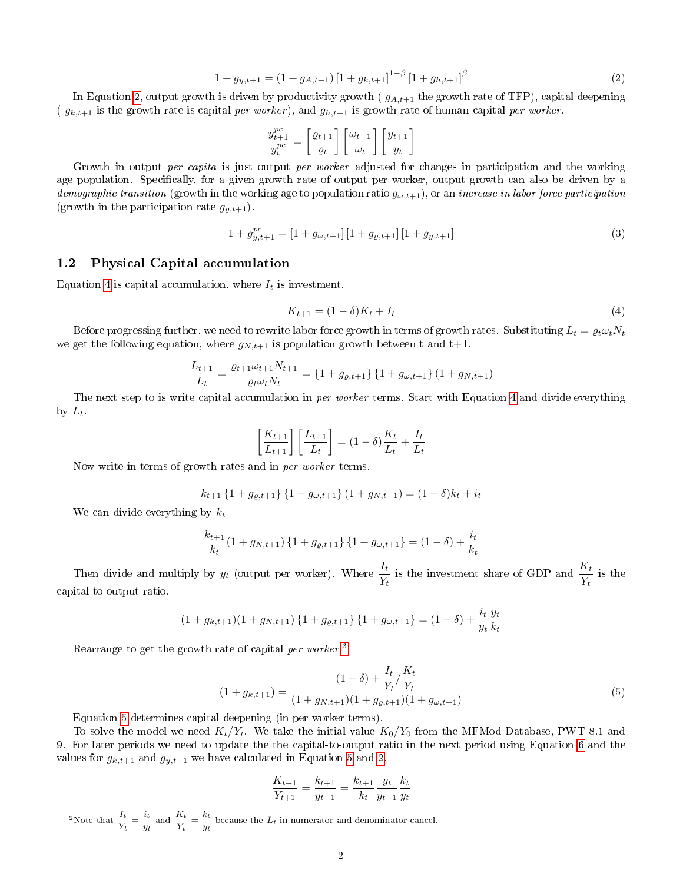<span id="page-1-0"></span>
$$
1 + g_{y,t+1} = (1 + g_{A,t+1}) \left[ 1 + g_{k,t+1} \right]^{1-\beta} \left[ 1 + g_{h,t+1} \right]^{\beta} \tag{2}
$$

In Equation [2,](#page-1-0) output growth is driven by productivity growth ( $g_{A,t+1}$  the growth rate of TFP), capital deepening ( $g_{k,t+1}$  is the growth rate is capital per worker), and  $g_{h,t+1}$  is growth rate of human capital per worker.

$$
\frac{y_{t+1}^{pc}}{y_{t}^{pc}}=\left[\frac{\varrho_{t+1}}{\varrho_{t}}\right]\left[\frac{\omega_{t+1}}{\omega_{t}}\right]\left[\frac{y_{t+1}}{y_{t}}\right]
$$

Growth in output *per capita* is just output *per worker* adjusted for changes in participation and the working age population. Specifically, for a given growth rate of output per worker, output growth can also be driven by a demographic transition (growth in the working age to population ratio  $g_{\omega,t+1}$ ), or an increase in labor force participation (growth in the participation rate  $g_{\varrho,t+1}$ ).

<span id="page-1-4"></span>
$$
1 + g_{y,t+1}^{pc} = [1 + g_{\omega,t+1}] [1 + g_{\varrho,t+1}] [1 + g_{y,t+1}] \tag{3}
$$

#### 1.2 Physical Capital accumulation

Equation [4](#page-1-1) is capital accumulation, where  $I_t$  is investment.

<span id="page-1-1"></span>
$$
K_{t+1} = (1 - \delta)K_t + I_t
$$
\n(4)

Before progressing further, we need to rewrite labor force growth in terms of growth rates. Substituting  $L_t = \varrho_t \omega_t N_t$ we get the following equation, where  $g_{N,t+1}$  is population growth between t and t+1.

$$
\frac{L_{t+1}}{L_t} = \frac{\varrho_{t+1}\omega_{t+1}N_{t+1}}{\varrho_t\omega_tN_t} = \left\{1 + g_{\varrho,t+1}\right\}\left\{1 + g_{\omega,t+1}\right\}\left(1 + g_{N,t+1}\right)
$$

The next step to is write capital accumulation in per worker terms. Start with Equation [4](#page-1-1) and divide everything by  $L_t$ .

$$
\left[\frac{K_{t+1}}{L_{t+1}}\right] \left[\frac{L_{t+1}}{L_t}\right] = (1 - \delta) \frac{K_t}{L_t} + \frac{I_t}{L_t}
$$

Now write in terms of growth rates and in per worker terms.

$$
k_{t+1} \{1 + g_{\varrho,t+1}\} \{1 + g_{\omega,t+1}\} (1 + g_{N,t+1}) = (1 - \delta)k_t + i_t
$$

We can divide everything by  $k_t$ 

$$
\frac{k_{t+1}}{k_t} (1 + g_{N,t+1}) \{1 + g_{\varrho,t+1}\} \{1 + g_{\omega,t+1}\} = (1 - \delta) + \frac{i_t}{k_t}
$$

Then divide and multiply by  $y_t$  (output per worker). Where  $\frac{I_t}{Y_t}$  is the investment share of GDP and  $\frac{K_t}{Y_t}$  is the capital to output ratio.

$$
(1 + g_{k,t+1})(1 + g_{N,t+1})\{1 + g_{\varrho,t+1}\}\{1 + g_{\omega,t+1}\} = (1 - \delta) + \frac{i_t}{y_t}\frac{y_t}{k_t}
$$

Rearrange to get the growth rate of capital per worker.<sup>[2](#page-1-2)</sup>

<span id="page-1-3"></span>
$$
(1+g_{k,t+1}) = \frac{(1-\delta) + \frac{I_t}{Y_t} / \frac{K_t}{Y_t}}{(1+g_{N,t+1})(1+g_{\varrho,t+1})(1+g_{\omega,t+1})}
$$
(5)

Equation [5](#page-1-3) determines capital deepening (in per worker terms).

To solve the model we need  $K_t/Y_t$ . We take the initial value  $K_0/Y_0$  from the MFMod Database, PWT 8.1 and 9. For later periods we need to update the the capital-to-output ratio in the next period using Equation [6](#page-2-0) and the values for  $g_{k,t+1}$  and  $g_{y,t+1}$  we have calculated in Equation [5](#page-1-3) and [2.](#page-1-0)

$$
\frac{K_{t+1}}{Y_{t+1}} = \frac{k_{t+1}}{y_{t+1}} = \frac{k_{t+1}}{k_t} \frac{y_t}{y_{t+1}} \frac{k_t}{y_t}
$$

<span id="page-1-2"></span><sup>2</sup>Note that  $\frac{I_t}{I}$  $\frac{I_t}{Y_t} = \frac{i_t}{y_t}$  $\frac{i_t}{y_t}$  and  $\frac{K_t}{Y_t}$  $\frac{K_t}{Y_t} = \frac{k_t}{y_t}$  $\frac{\partial L}{\partial t}$  because the  $L_t$  in numerator and denominator cancel.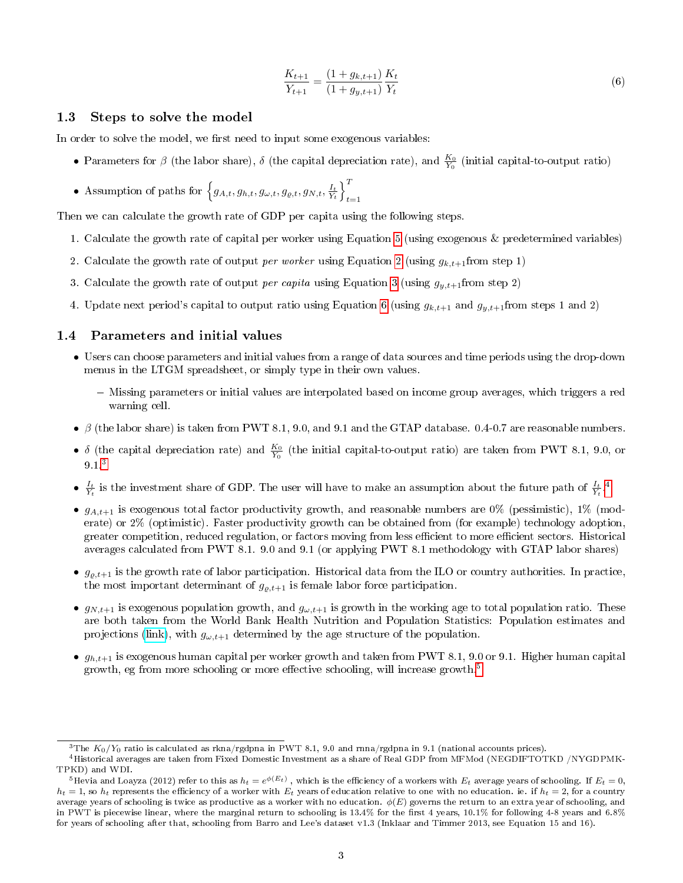<span id="page-2-0"></span>
$$
\frac{K_{t+1}}{Y_{t+1}} = \frac{(1+g_{k,t+1})}{(1+g_{y,t+1})} \frac{K_t}{Y_t}
$$
\n(6)

#### <span id="page-2-4"></span>1.3 Steps to solve the model

In order to solve the model, we first need to input some exogenous variables:

- Parameters for  $\beta$  (the labor share),  $\delta$  (the capital depreciation rate), and  $\frac{K_0}{Y_0}$  (initial capital-to-output ratio)
- Assumption of paths for  $\left\{g_{A,t}, g_{h,t}, g_{\omega,t}, g_{\varrho,t}, g_{N,t}, \frac{I_t}{Y_t}\right\}_{t=1}^T$  $t=1$

Then we can calculate the growth rate of GDP per capita using the following steps.

- 1. Calculate the growth rate of capital per worker using Equation [5](#page-1-3) (using exogenous & predetermined variables)
- 2. Calculate the growth rate of output per worker using Equation [2](#page-1-0) (using  $g_{k,t+1}$  from step 1)
- 3. Calculate the growth rate of output *per capita* using Equation [3](#page-1-4) (using  $g_{y,t+1}$  from step 2)
- 4. Update next period's capital to output ratio using Equation [6](#page-2-0) (using  $g_{k,t+1}$  and  $g_{y,t+1}$  from steps 1 and 2)

#### 1.4 Parameters and initial values

- Users can choose parameters and initial values from a range of data sources and time periods using the drop-down menus in the LTGM spreadsheet, or simply type in their own values.
	- Missing parameters or initial values are interpolated based on income group averages, which triggers a red warning cell.
- $\beta$  (the labor share) is taken from PWT 8.1, 9.0, and 9.1 and the GTAP database. 0.4-0.7 are reasonable numbers.
- δ (the capital depreciation rate) and  $\frac{K_0}{Y_0}$  (the initial capital-to-output ratio) are taken from PWT 8.1, 9.0, or 9.1.[3](#page-2-1)
- $\frac{I_t}{Y_t}$  is the investment share of GDP. The user will have to make an assumption about the future path of  $\frac{I_t}{Y_t}$ .
- $g_{A,t+1}$  is exogenous total factor productivity growth, and reasonable numbers are 0% (pessimistic), 1% (moderate) or 2% (optimistic). Faster productivity growth can be obtained from (for example) technology adoption, greater competition, reduced regulation, or factors moving from less efficient to more efficient sectors. Historical averages calculated from PWT 8.1. 9.0 and 9.1 (or applying PWT 8.1 methodology with GTAP labor shares)
- $g_{o,t+1}$  is the growth rate of labor participation. Historical data from the ILO or country authorities. In practice, the most important determinant of  $g_{\rho,t+1}$  is female labor force participation.
- $g_{N,t+1}$  is exogenous population growth, and  $g_{\omega,t+1}$  is growth in the working age to total population ratio. These are both taken from the World Bank Health Nutrition and Population Statistics: Population estimates and projections [\(link\)](https://www.google.com/url?sa=t&rct=j&q=&esrc=s&source=web&cd=1&cad=rja&uact=8&ved=0ahUKEwjblu6y8vDKAhVFWj4KHbS-DqkQFgghMAA&url=http%3A%2F%2Fdatabank.worldbank.org%2Fdata%2Freports.aspx%3Fsource%3DHealth-Nutrition-and-Population-Statistics%3A-Population-estimates-and-projections&usg=AFQjCNGLDJX08ZqdpCEYjDpI2XW_zR4snQ&sig2=zeWv_wwhlBX9hi8OhbRMaA&bvm=bv.114195076,bs.2,d.dmo), with  $g_{\omega,t+1}$  determined by the age structure of the population.
- $g_{h,t+1}$  is exogenous human capital per worker growth and taken from PWT 8.1, 9.0 or 9.1. Higher human capital growth, eg from more schooling or more effective schooling, will increase growth.<sup>[5](#page-2-3)</sup>

<span id="page-2-2"></span><span id="page-2-1"></span><sup>&</sup>lt;sup>3</sup>The  $K_0/Y_0$  ratio is calculated as rkna/rgdpna in PWT 8.1, 9.0 and rnna/rgdpna in 9.1 (national accounts prices).

<sup>4</sup>Historical averages are taken from Fixed Domestic Investment as a share of Real GDP from MFMod (NEGDIFTOTKD /NYGDPMK-TPKD) and WDI.

<span id="page-2-3"></span> $^5$ Hevia and Loayza (2012) refer to this as  $h_t=e^{\phi(E_t)}$  , which is the efficiency of a workers with  $E_t$  average years of schooling. If  $E_t=0,$  $h_t = 1$ , so  $h_t$  represents the efficiency of a worker with  $E_t$  years of education relative to one with no education. ie. if  $h_t = 2$ , for a country average years of schooling is twice as productive as a worker with no education.  $\phi(E)$  governs the return to an extra year of schooling, and in PWT is piecewise linear, where the marginal return to schooling is 13.4% for the first 4 years, 10.1% for following 4-8 years and 6.8% for years of schooling after that, schooling from Barro and Lee's dataset v1.3 (Inklaar and Timmer 2013, see Equation 15 and 16).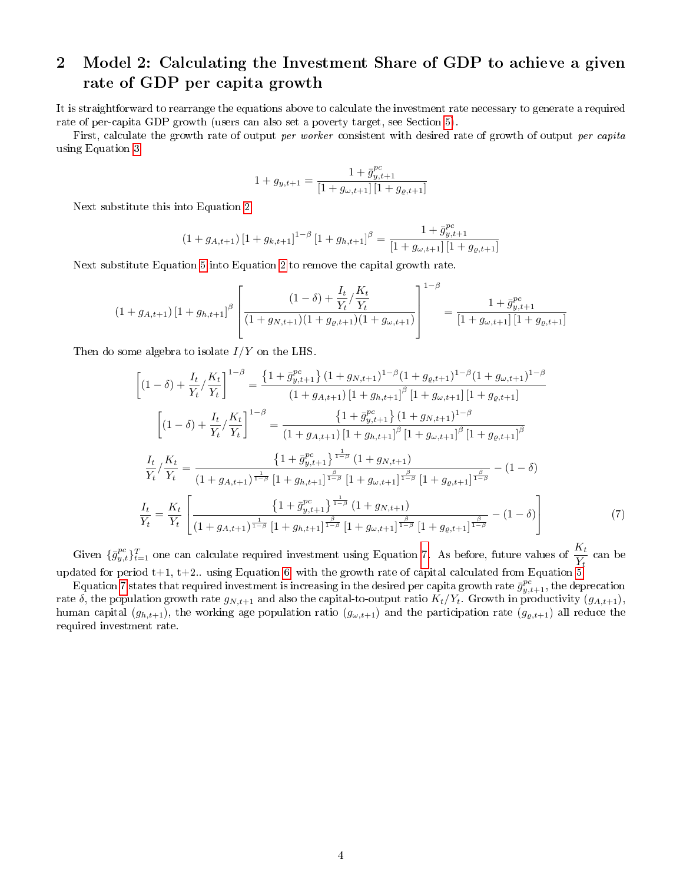# 2 Model 2: Calculating the Investment Share of GDP to achieve a given rate of GDP per capita growth

It is straightforward to rearrange the equations above to calculate the investment rate necessary to generate a required rate of per-capita GDP growth (users can also set a poverty target, see Section [5\)](#page-7-0).

First, calculate the growth rate of output *per worker* consistent with desired rate of growth of output *per capita* using Equation [3.](#page-1-4)

$$
1+g_{y,t+1}=\frac{1+\bar{g}_{y,t+1}^{pc}}{[1+g_{\omega,t+1}]\left[1+g_{\varrho,t+1}\right]}
$$

Next substitute this into Equation [2](#page-1-0)

$$
(1 + g_{A,t+1}) [1 + g_{k,t+1}]^{1-\beta} [1 + g_{h,t+1}]^{\beta} = \frac{1 + \bar{g}_{y,t+1}^{pc}}{[1 + g_{\omega,t+1}] [1 + g_{\varrho,t+1}]}
$$

Next substitute Equation [5](#page-1-3) into Equation [2](#page-1-0) to remove the capital growth rate.

$$
(1+g_{A,t+1})\left[1+g_{h,t+1}\right]^{\beta}\left[\frac{(1-\delta)+\frac{I_t}{Y_t}/\frac{K_t}{Y_t}}{(1+g_{N,t+1})(1+g_{\varrho,t+1})(1+g_{\omega,t+1})}\right]^{1-\beta}=\frac{1+\bar{g}_{y,t+1}^{pc}}{\left[1+g_{\omega,t+1}\right]\left[1+g_{\varrho,t+1}\right]}
$$

Then do some algebra to isolate  $I/Y$  on the LHS.

$$
\left[ (1 - \delta) + \frac{I_t}{Y_t} / \frac{K_t}{Y_t} \right]^{1-\beta} = \frac{\left\{ 1 + \bar{g}_{y,t+1}^{pc} \right\} (1 + g_{N,t+1})^{1-\beta} (1 + g_{\varphi,t+1})^{1-\beta} (1 + g_{\omega,t+1})^{1-\beta}}{(1 + g_{A,t+1}) [1 + g_{h,t+1}]^{\beta} [1 + g_{\omega,t+1}] [1 + g_{\varphi,t+1}]}
$$
\n
$$
\left[ (1 - \delta) + \frac{I_t}{Y_t} / \frac{K_t}{Y_t} \right]^{1-\beta} = \frac{\left\{ 1 + \bar{g}_{y,t+1}^{pc} \right\} (1 + g_{N,t+1})^{1-\beta}}{(1 + g_{A,t+1}) [1 + g_{h,t+1}]^{\beta} [1 + g_{\omega,t+1}]^{\beta} [1 + g_{\varphi,t+1}]^{\beta}}
$$
\n
$$
\frac{I_t}{Y_t} / \frac{K_t}{Y_t} = \frac{\left\{ 1 + \bar{g}_{y,t+1}^{pc} \right\}^{\frac{1}{1-\beta}} (1 + g_{N,t+1})}{(1 + g_{A,t+1})^{\frac{1}{1-\beta}} [1 + g_{h,t+1}]^{\frac{\beta}{1-\beta}} [1 + g_{\omega,t+1}]^{\frac{\beta}{1-\beta}} [1 + g_{\varphi,t+1}]^{\frac{\beta}{1-\beta}} - (1 - \delta)}
$$
\n
$$
\frac{I_t}{Y_t} = \frac{K_t}{Y_t} \left[ \frac{\left\{ 1 + \bar{g}_{y,t+1}^{pc} \right\}^{\frac{1}{1-\beta}} (1 + g_{N,t+1})}{(1 + g_{A,t+1})^{\frac{\beta}{1-\beta}} [1 + g_{\omega,t+1}]^{\frac{\beta}{1-\beta}} [1 + g_{\varphi,t+1}]^{\frac{\beta}{1-\beta}} - (1 - \delta) \right] \tag{7}
$$

<span id="page-3-0"></span>Given  $\{\bar{g}^{pc}_{y,t}\}_{t=1}^T$  one can calculate required investment using Equation [7.](#page-3-0) As before, future values of  $\frac{K_t}{Y_t}$  can be updated for period  $t+1$ ,  $t+2$ .. using Equation [6,](#page-2-0) with the growth rate of capital calculated from Equation [5.](#page-1-3)

Equation [7](#page-3-0) states that required investment is increasing in the desired per capita growth rate  $\bar{g}^{pc}_{y,t+1}$ , the deprecation rate  $\delta$ , the population growth rate  $g_{N,t+1}$  and also the capital-to-output ratio  $K_t/Y_t$ . Growth in productivity  $(g_{A,t+1})$ , human capital  $(g_{h,t+1})$ , the working age population ratio  $(g_{\omega,t+1})$  and the participation rate  $(g_{\varrho,t+1})$  all reduce the required investment rate.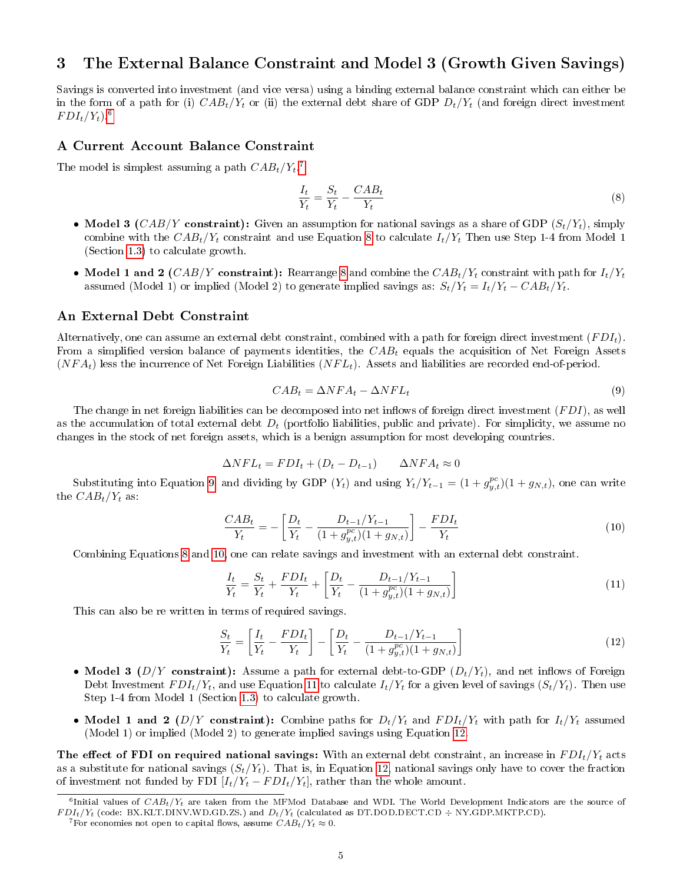## <span id="page-4-0"></span>3 The External Balance Constraint and Model 3 (Growth Given Savings)

Savings is converted into investment (and vice versa) using a binding external balance constraint which can either be in the form of a path for (i)  $CAB_t/Y_t$  or (ii) the external debt share of GDP  $D_t/Y_t$  (and foreign direct investment  $FDI_t/Y_t$ ).<sup>[6](#page-4-1)</sup>

#### A Current Account Balance Constraint

The model is simplest assuming a path  $CAB_t/Y_t$ .<sup>[7](#page-4-2)</sup>

<span id="page-4-3"></span>
$$
\frac{I_t}{Y_t} = \frac{S_t}{Y_t} - \frac{CAB_t}{Y_t} \tag{8}
$$

- Model 3 (CAB/Y constraint): Given an assumption for national savings as a share of GDP  $(S_t/Y_t)$ , simply combine with the  $CAB_t/Y_t$  constraint and use Equation [8](#page-4-3) to calculate  $I_t/Y_t$ . Then use Step 1-4 from Model 1 (Section [1.3\)](#page-2-4) to calculate growth.
- Model 1 and 2 (CAB/Y constraint): Rearrange [8](#page-4-3) and combine the  $CAB_t/Y_t$  constraint with path for  $I_t/Y_t$ assumed (Model 1) or implied (Model 2) to generate implied savings as:  $S_t/Y_t = I_t/Y_t - CAB_t/Y_t$ .

### An External Debt Constraint

Alternatively, one can assume an external debt constraint, combined with a path for foreign direct investment  $(FDI_t)$ . From a simplified version balance of payments identities, the  $CAB_t$  equals the acquisition of Net Foreign Assets  $(NFA_t)$  less the incurrence of Net Foreign Liabilities  $(NFL_t)$ . Assets and liabilities are recorded end-of-period.

<span id="page-4-4"></span>
$$
CAB_t = \Delta NFA_t - \Delta NFL_t \tag{9}
$$

The change in net foreign liabilities can be decomposed into net inflows of foreign direct investment  $(FDI)$ , as well as the accumulation of total external debt  $D_t$  (portfolio liabilities, public and private). For simplicity, we assume no changes in the stock of net foreign assets, which is a benign assumption for most developing countries.

$$
\Delta NFL_t = FDI_t + (D_t - D_{t-1}) \qquad \Delta NFA_t \approx 0
$$

Substituting into Equation [9,](#page-4-4) and dividing by GDP  $(Y_t)$  and using  $Y_t/Y_{t-1} = (1 + g_{y,t}^{pc})(1 + g_{N,t})$ , one can write the  $CAB_t/Y_t$  as:

<span id="page-4-5"></span>
$$
\frac{CAB_t}{Y_t} = -\left[\frac{D_t}{Y_t} - \frac{D_{t-1}/Y_{t-1}}{(1+g_{y,t}^{pc})(1+g_{N,t})}\right] - \frac{FDI_t}{Y_t}
$$
\n(10)

Combining Equations [8](#page-4-3) and [10,](#page-4-5) one can relate savings and investment with an external debt constraint.

<span id="page-4-6"></span>
$$
\frac{I_t}{Y_t} = \frac{S_t}{Y_t} + \frac{FDI_t}{Y_t} + \left[\frac{D_t}{Y_t} - \frac{D_{t-1}/Y_{t-1}}{(1 + g_{y,t}^{pc})(1 + g_{N,t})}\right]
$$
\n(11)

This can also be re written in terms of required savings.

<span id="page-4-7"></span>
$$
\frac{S_t}{Y_t} = \left[\frac{I_t}{Y_t} - \frac{FDI_t}{Y_t}\right] - \left[\frac{D_t}{Y_t} - \frac{D_{t-1}/Y_{t-1}}{(1 + g_{y,t}^{pc})(1 + g_{N,t})}\right]
$$
\n(12)

- Model 3 ( $D/Y$  constraint): Assume a path for external debt-to-GDP ( $D_t/Y_t$ ), and net inflows of Foreign Debt Investment  $FDI_t/Y_t$ , and use Equation [11](#page-4-6) to calculate  $I_t/Y_t$  for a given level of savings  $(S_t/Y_t)$ . Then use Step 1-4 from Model 1 (Section [1.3\)](#page-2-4) to calculate growth.
- Model 1 and 2 (D/Y constraint): Combine paths for  $D_t/Y_t$  and  $FDI_t/Y_t$  with path for  $I_t/Y_t$  assumed (Model 1) or implied (Model 2) to generate implied savings using Equation [12.](#page-4-7)

The effect of FDI on required national savings: With an external debt constraint, an increase in  $FDI_t/Y_t$  acts as a substitute for national savings  $(S_t/Y_t)$ . That is, in Equation [12,](#page-4-7) national savings only have to cover the fraction of investment not funded by FDI  $[I_t/Y_t - FDI_t/Y_t]$ , rather than the whole amount.

<span id="page-4-1"></span> $^6$ Initial values of  $CAB_t/Y_t$  are taken from the MFMod Database and WDI. The World Development Indicators are the source of  $FDI_t/Y_t$  (code: BX.KLT.DINV.WD.GD.ZS.) and  $D_t/Y_t$  (calculated as DT.DOD.DECT.CD  $\div$  NY.GDP.MKTP.CD).

<span id="page-4-2"></span><sup>&</sup>lt;sup>7</sup>For economies not open to capital flows, assume  $CAB_t/Y_t \approx 0$ .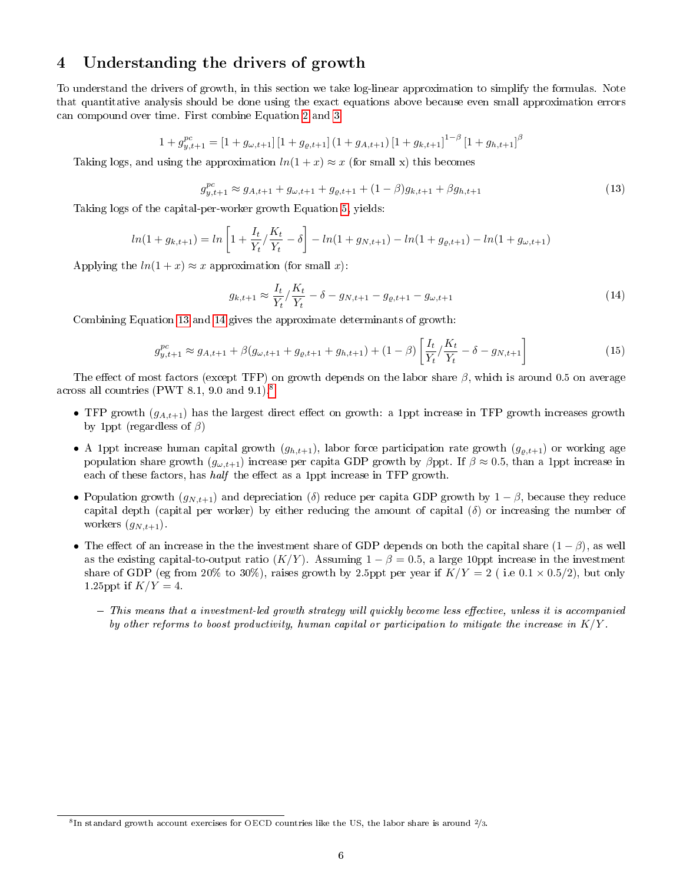## <span id="page-5-0"></span>4 Understanding the drivers of growth

To understand the drivers of growth, in this section we take log-linear approximation to simplify the formulas. Note that quantitative analysis should be done using the exact equations above because even small approximation errors can compound over time. First combine Equation [2](#page-1-0) and [3:](#page-1-4)

$$
1 + g_{y,t+1}^{pc} = [1 + g_{\omega,t+1}] [1 + g_{\varrho,t+1}] (1 + g_{A,t+1}) [1 + g_{k,t+1}]^{1-\beta} [1 + g_{h,t+1}]^{\beta}
$$

Taking logs, and using the approximation  $ln(1 + x) \approx x$  (for small x) this becomes

<span id="page-5-1"></span>
$$
g_{y,t+1}^{pc} \approx g_{A,t+1} + g_{\omega,t+1} + g_{\varrho,t+1} + (1 - \beta)g_{k,t+1} + \beta g_{h,t+1}
$$
\n(13)

Taking logs of the capital-per-worker growth Equation [5,](#page-1-3) yields:

$$
ln(1 + g_{k,t+1}) = ln \left[ 1 + \frac{I_t}{Y_t} / \frac{K_t}{Y_t} - \delta \right] - ln(1 + g_{N,t+1}) - ln(1 + g_{\varrho,t+1}) - ln(1 + g_{\omega,t+1})
$$

Applying the  $ln(1+x) \approx x$  approximation (for small x):

<span id="page-5-2"></span>
$$
g_{k,t+1} \approx \frac{I_t}{Y_t} / \frac{K_t}{Y_t} - \delta - g_{N,t+1} - g_{\varrho,t+1} - g_{\omega,t+1}
$$
\n(14)

Combining Equation [13](#page-5-1) and [14](#page-5-2) gives the approximate determinants of growth:

<span id="page-5-4"></span>
$$
g_{y,t+1}^{pc} \approx g_{A,t+1} + \beta(g_{\omega,t+1} + g_{\varrho,t+1} + g_{h,t+1}) + (1 - \beta) \left[ \frac{I_t}{Y_t} / \frac{K_t}{Y_t} - \delta - g_{N,t+1} \right]
$$
(15)

The effect of most factors (except TFP) on growth depends on the labor share  $\beta$ , which is around 0.5 on average across all countries (PWT 8.1, 9.0 and 9.1).[8](#page-5-3)

- TFP growth  $(g_{A,t+1})$  has the largest direct effect on growth: a 1ppt increase in TFP growth increases growth by 1ppt (regardless of  $\beta$ )
- A 1ppt increase human capital growth  $(g_{h,t+1})$ , labor force participation rate growth  $(g_{g,t+1})$  or working age population share growth  $(g_{\omega,t+1})$  increase per capita GDP growth by  $\beta$ ppt. If  $\beta \approx 0.5$ , than a 1ppt increase in each of these factors, has  $half$  the effect as a 1ppt increase in TFP growth.
- Population growth  $(g_{N,t+1})$  and depreciation (δ) reduce per capita GDP growth by  $1-\beta$ , because they reduce capital depth (capital per worker) by either reducing the amount of capital  $(\delta)$  or increasing the number of workers  $(g_{N,t+1})$ .
- The effect of an increase in the the investment share of GDP depends on both the capital share  $(1 \beta)$ , as well as the existing capital-to-output ratio  $(K/Y)$ . Assuming  $1 - \beta = 0.5$ , a large 10ppt increase in the investment share of GDP (eg from 20% to 30%), raises growth by 2.5ppt per year if  $K/Y = 2$  (i.e 0.1 × 0.5/2), but only 1.25ppt if  $K/Y=4$ .
	- $-$  This means that a investment-led growth strategy will quickly become less effective, unless it is accompanied by other reforms to boost productivity, human capital or participation to mitigate the increase in  $K/Y$ .

<span id="page-5-3"></span> ${}^{8}$ In standard growth account exercises for OECD countries like the US, the labor share is around  $2/3$ .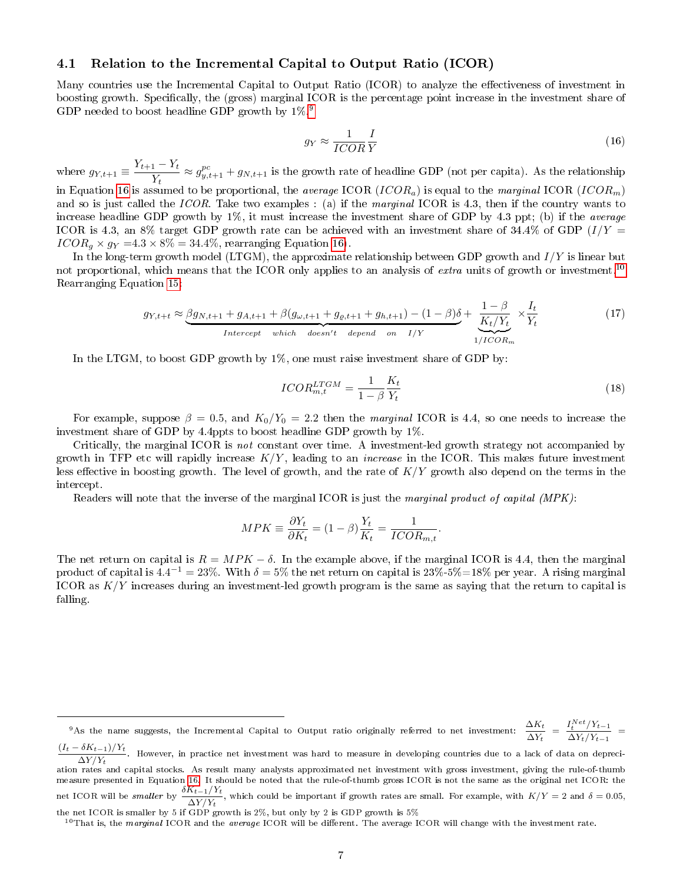#### 4.1 Relation to the Incremental Capital to Output Ratio (ICOR)

Many countries use the Incremental Capital to Output Ratio (ICOR) to analyze the effectiveness of investment in boosting growth. Specifically, the (gross) marginal ICOR is the percentage point increase in the investment share of GDP needed to boost headline GDP growth by 1%.[9](#page-6-0)

<span id="page-6-1"></span>
$$
g_Y \approx \frac{1}{ICOR} \frac{I}{Y} \tag{16}
$$

where  $g_{Y,t+1} \equiv \frac{Y_{t+1} - Y_t}{Y}$  $\frac{1-T_t}{Y_t} \approx g_{y,t+1}^{pc} + g_{N,t+1}$  is the growth rate of headline GDP (not per capita). As the relationship in Equation [16](#page-6-1) is assumed to be proportional, the average ICOR (ICOR<sub>a</sub>) is equal to the marginal ICOR (ICOR<sub>m</sub>) and so is just called the ICOR. Take two examples : (a) if the marginal ICOR is 4.3, then if the country wants to increase headline GDP growth by  $1\%$ , it must increase the investment share of GDP by 4.3 ppt; (b) if the *average* ICOR is 4.3, an 8% target GDP growth rate can be achieved with an investment share of 34.4% of GDP  $(I/Y =$  $ICOR<sub>g</sub> \times g<sub>Y</sub> = 4.3 \times 8\% = 34.4\%,$  rearranging Equation [16\)](#page-6-1).

In the long-term growth model (LTGM), the approximate relationship between GDP growth and  $I/Y$  is linear but not proportional, which means that the ICOR only applies to an analysis of extra units of growth or investment.<sup>[10](#page-6-2)</sup> Rearranging Equation [15:](#page-5-4)

$$
g_{Y,t+t} \approx \underbrace{\beta g_{N,t+1} + g_{A,t+1} + \beta (g_{\omega,t+1} + g_{\varrho,t+1} + g_{h,t+1}) - (1 - \beta)\delta}_{Intercept \ which \ doesn't \ depend \ on \ I/Y} + \underbrace{\frac{1 - \beta}{K_t/Y_t}}_{1/ICOR_m} \times \frac{I_t}{Y_t}
$$
(17)

In the LTGM, to boost GDP growth by  $1\%$ , one must raise investment share of GDP by:

$$
ICOR_{m,t}^{LTGM} = \frac{1}{1 - \beta} \frac{K_t}{Y_t}
$$
\n<sup>(18)</sup>

For example, suppose  $\beta = 0.5$ , and  $K_0/Y_0 = 2.2$  then the marginal ICOR is 4.4, so one needs to increase the investment share of GDP by 4.4ppts to boost headline GDP growth by 1%.

Critically, the marginal ICOR is not constant over time. A investment-led growth strategy not accompanied by growth in TFP etc will rapidly increase  $K/Y$ , leading to an *increase* in the ICOR. This makes future investment less effective in boosting growth. The level of growth, and the rate of  $K/Y$  growth also depend on the terms in the intercept.

Readers will note that the inverse of the marginal ICOR is just the marginal product of capital (MPK):

$$
MPK \equiv \frac{\partial Y_t}{\partial K_t} = (1 - \beta) \frac{Y_t}{K_t} = \frac{1}{ICOR_{m,t}}.
$$

The net return on capital is  $R = MPK - \delta$ . In the example above, if the marginal ICOR is 4.4, then the marginal product of capital is 4.4 $^{-1}=23\%$ . With  $\delta=5\%$  the net return on capital is  $23\%$ -5% $=$ 18% per year. A rising marginal ICOR as  $K/Y$  increases during an investment-led growth program is the same as saying that the return to capital is falling.

<span id="page-6-0"></span><sup>&</sup>lt;sup>9</sup>As the name suggests, the Incremental Capital to Output ratio originally referred to net investment:  $\frac{\Delta K_t}{\Delta Y_t} = \frac{I_t^{Net}/Y_{t-1}}{\Delta Y_t/Y_{t-1}}$  $\frac{X_t - Y_{t-1}}{\Delta Y_t/Y_{t-1}} =$ 

 $(I_t - \delta K_{t-1})/Y_t$  $\frac{\Delta Y/Y_t}{\Delta Y/Y_t}$ . However, in practice net investment was hard to measure in developing countries due to a lack of data on depreciation rates and capital stocks. As result many analysts approximated net investment with gross investment, giving the rule-of-thumb measure presented in Equation [16.](#page-6-1) It should be noted that the rule-of-thumb gross ICOR is not the same as the original net ICOR: the net ICOR will be smaller by  $\frac{\delta K_{t-1}/Y_t}{\delta K_{t-1}/Y_t}$  $\frac{\Delta Y/Y_t}{\Delta Y/Y_t}$ , which could be important if growth rates are small. For example, with  $K/Y = 2$  and  $\delta = 0.05$ , the net ICOR is smaller by 5 if GDP growth is 2%, but only by 2 is GDP growth is 5%

<span id="page-6-2"></span> $10$ That is, the marginal ICOR and the average ICOR will be different. The average ICOR will change with the investment rate.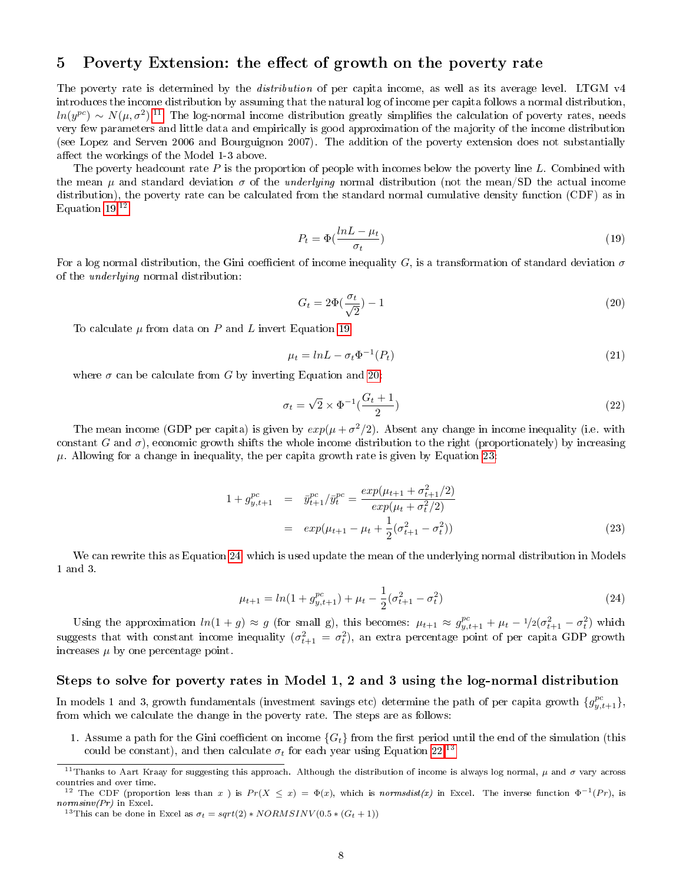## <span id="page-7-0"></span>5 Poverty Extension: the effect of growth on the poverty rate

The poverty rate is determined by the *distribution* of per capita income, as well as its average level. LTGM v4 introduces the income distribution by assuming that the natural log of income per capita follows a normal distribution,  $ln(y^{pc}) \sim N(\mu, \sigma^2)^{11}$  $ln(y^{pc}) \sim N(\mu, \sigma^2)^{11}$  $ln(y^{pc}) \sim N(\mu, \sigma^2)^{11}$  The log-normal income distribution greatly simplifies the calculation of poverty rates, needs very few parameters and little data and empirically is good approximation of the majority of the income distribution (see Lopez and Serven 2006 and Bourguignon 2007). The addition of the poverty extension does not substantially affect the workings of the Model 1-3 above.

The poverty headcount rate  $P$  is the proportion of people with incomes below the poverty line  $L$ . Combined with the mean  $\mu$  and standard deviation  $\sigma$  of the *underlying* normal distribution (not the mean/SD the actual income distribution), the poverty rate can be calculated from the standard normal cumulative density function (CDF) as in Equation  $19^{12}$  $19^{12}$  $19^{12}$ 

<span id="page-7-2"></span>
$$
P_t = \Phi(\frac{lnL - \mu_t}{\sigma_t})
$$
\n(19)

For a log normal distribution, the Gini coefficient of income inequality G, is a transformation of standard deviation  $\sigma$ of the underlying normal distribution:

<span id="page-7-4"></span>
$$
G_t = 2\Phi\left(\frac{\sigma_t}{\sqrt{2}}\right) - 1\tag{20}
$$

To calculate  $\mu$  from data on P and L invert Equation [19:](#page-7-2)

<span id="page-7-9"></span>
$$
\mu_t = lnL - \sigma_t \Phi^{-1}(P_t) \tag{21}
$$

where  $\sigma$  can be calculate from G by inverting Equation and [20:](#page-7-4)

<span id="page-7-7"></span>
$$
\sigma_t = \sqrt{2} \times \Phi^{-1} \left( \frac{G_t + 1}{2} \right) \tag{22}
$$

The mean income (GDP per capita) is given by  $exp(\mu + \sigma^2/2)$ . Absent any change in income inequality (i.e. with constant G and  $\sigma$ ), economic growth shifts the whole income distribution to the right (proportionately) by increasing  $\mu$ . Allowing for a change in inequality, the per capita growth rate is given by Equation [23:](#page-7-5)

<span id="page-7-5"></span>
$$
1 + g_{y,t+1}^{pc} = \bar{y}_{t+1}^{pc} / \bar{y}_t^{pc} = \frac{exp(\mu_{t+1} + \sigma_{t+1}^2/2)}{exp(\mu_t + \sigma_t^2/2)}
$$
  
= 
$$
exp(\mu_{t+1} - \mu_t + \frac{1}{2}(\sigma_{t+1}^2 - \sigma_t^2))
$$
 (23)

We can rewrite this as Equation [24,](#page-7-6) which is used update the mean of the underlying normal distribution in Models 1 and 3.

<span id="page-7-6"></span>
$$
\mu_{t+1} = \ln(1 + g_{y,t+1}^{pc}) + \mu_t - \frac{1}{2}(\sigma_{t+1}^2 - \sigma_t^2)
$$
\n(24)

Using the approximation  $ln(1+g) \approx g$  (for small g), this becomes:  $\mu_{t+1} \approx g_{y,t+1}^{pc} + \mu_t - \frac{1}{2}(\sigma_{t+1}^2 - \sigma_t^2)$  which suggests that with constant income inequality  $(\sigma_{t+1}^2 = \sigma_t^2)$ , an extra percentage point of per capita GDP growth increases  $\mu$  by one percentage point.

### Steps to solve for poverty rates in Model 1, 2 and 3 using the log-normal distribution

In models 1 and 3, growth fundamentals (investment savings etc) determine the path of per capita growth  $\{g_{y,t+1}^{pc}\},$ from which we calculate the change in the poverty rate. The steps are as follows:

1. Assume a path for the Gini coefficient on income  ${G_t}$  from the first period until the end of the simulation (this could be constant), and then calculate  $\sigma_t$  for each year using Equation [22.](#page-7-7)<sup>[13](#page-7-8)</sup>

<span id="page-7-1"></span><sup>&</sup>lt;sup>11</sup>Thanks to Aart Kraay for suggesting this approach. Although the distribution of income is always log normal,  $\mu$  and  $\sigma$  vary across countries and over time.

<span id="page-7-3"></span><sup>&</sup>lt;sup>12</sup> The CDF (proportion less than x) is  $Pr(X \le x) = \Phi(x)$ , which is normsdist(x) in Excel. The inverse function  $\Phi^{-1}(Pr)$ , is normsinv(Pr) in Excel.

<span id="page-7-8"></span><sup>&</sup>lt;sup>13</sup>This can be done in Excel as  $\sigma_t = sqrt(2) * NORMSINV(0.5 * (G_t + 1))$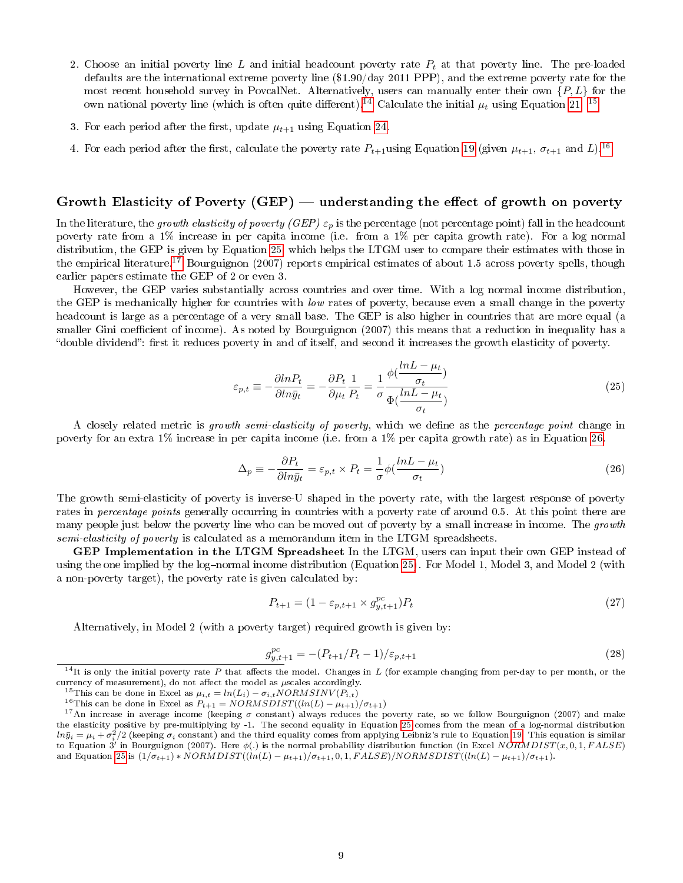- 2. Choose an initial poverty line L and initial headcount poverty rate  $P_t$  at that poverty line. The pre-loaded defaults are the international extreme poverty line (\$1.90/day 2011 PPP), and the extreme poverty rate for the most recent household survey in PovcalNet. Alternatively, users can manually enter their own  $\{P, L\}$  for the own national poverty line (which is often quite different).<sup>[14](#page-8-0)</sup> Calculate the initial  $\mu_t$  using Equation [21.](#page-7-9)<sup>[15](#page-8-1)</sup>
- 3. For each period after the first, update  $\mu_{t+1}$  using Equation [24.](#page-7-6)
- 4. For each period after the first, calculate the poverty rate  $P_{t+1}$ using Equation [19](#page-7-2) (given  $\mu_{t+1}$ ,  $\sigma_{t+1}$  and L).<sup>[16](#page-8-2)</sup>

#### Growth Elasticity of Poverty  $(GEP)$  — understanding the effect of growth on poverty

In the literature, the growth elasticity of poverty (GEP)  $\varepsilon_p$  is the percentage (not percentage point) fall in the headcount poverty rate from a 1% increase in per capita income (i.e. from a 1% per capita growth rate). For a log normal distribution, the GEP is given by Equation [25,](#page-8-3) which helps the LTGM user to compare their estimates with those in the empirical literature.<sup>[17](#page-8-4)</sup> Bourguignon (2007) reports empirical estimates of about 1.5 across poverty spells, though earlier papers estimate the GEP of 2 or even 3.

However, the GEP varies substantially across countries and over time. With a log normal income distribution, the GEP is mechanically higher for countries with low rates of poverty, because even a small change in the poverty headcount is large as a percentage of a very small base. The GEP is also higher in countries that are more equal (a smaller Gini coefficient of income). As noted by Bourguignon (2007) this means that a reduction in inequality has a "double dividend": first it reduces poverty in and of itself, and second it increases the growth elasticity of poverty.

<span id="page-8-3"></span>
$$
\varepsilon_{p,t} \equiv -\frac{\partial ln P_t}{\partial ln \bar{y}_t} = -\frac{\partial P_t}{\partial \mu_t} \frac{1}{P_t} = \frac{1}{\sigma} \frac{\phi(\frac{lnL - \mu_t}{\sigma_t})}{\Phi(\frac{lnL - \mu_t}{\sigma_t})}
$$
(25)

A closely related metric is growth semi-elasticity of poverty, which we define as the percentage point change in poverty for an extra 1% increase in per capita income (i.e. from a 1% per capita growth rate) as in Equation [26.](#page-8-5)

<span id="page-8-5"></span>
$$
\Delta_p \equiv -\frac{\partial P_t}{\partial \ln \bar{y}_t} = \varepsilon_{p,t} \times P_t = -\frac{1}{\sigma} \phi \left( \frac{\ln L - \mu_t}{\sigma_t} \right) \tag{26}
$$

The growth semi-elasticity of poverty is inverse-U shaped in the poverty rate, with the largest response of poverty rates in *percentage points* generally occurring in countries with a poverty rate of around 0.5. At this point there are many people just below the poverty line who can be moved out of poverty by a small increase in income. The growth semi-elasticity of poverty is calculated as a memorandum item in the LTGM spreadsheets.

GEP Implementation in the LTGM Spreadsheet In the LTGM, users can input their own GEP instead of using the one implied by the log-normal income distribution (Equation [25\)](#page-8-3). For Model 1, Model 3, and Model 2 (with a non-poverty target), the poverty rate is given calculated by:

$$
P_{t+1} = (1 - \varepsilon_{p,t+1} \times g_{y,t+1}^{pc}) P_t
$$
\n(27)

Alternatively, in Model 2 (with a poverty target) required growth is given by:

$$
g_{y,t+1}^{pc} = -(P_{t+1}/P_t - 1)/\varepsilon_{p,t+1}
$$
\n(28)

<span id="page-8-0"></span><sup>&</sup>lt;sup>14</sup>It is only the initial poverty rate P that affects the model. Changes in L (for example changing from per-day to per month, or the currency of measurement), do not affect the model as  $\mu$ scales accordingly.

<span id="page-8-1"></span><sup>&</sup>lt;sup>15</sup>This can be done in Excel as  $\mu_{i,t} = ln(L_i) - \sigma_{i,t} NORMSINV(P_{i,t})$ 

<span id="page-8-4"></span><span id="page-8-2"></span><sup>&</sup>lt;sup>16</sup>This can be done in Excel as  $P_{t+1} = NORMSDIST((ln(L) - \mu_{t+1})/\sigma_{t+1})$ 

<sup>&</sup>lt;sup>17</sup>An increase in average income (keeping  $\sigma$  constant) always reduces the poverty rate, so we follow Bourguignon (2007) and make the elasticity positive by pre-multiplying by -1. The second equality in Equation [25](#page-8-3) comes from the mean of a log-normal distribution  $ln \bar y_i = \mu_i + \sigma_i^2/2$  (keeping  $\sigma_i$  constant) and the third equality comes from applying Leibniz's rule to Equation [19.](#page-7-2) This equation is similar to Equation 3<sup>7</sup> in Bourguignon (2007). Here  $\phi(.)$  is the normal probability distribution function (in Excel NORMDIST(x, 0, 1, FALSE) and Equation [25](#page-8-3) is  $\left(\frac{1}{\sigma_{t+1}}\right) * NORMDIST((ln(L) - \mu_{t+1})/\sigma_{t+1}, 0, 1, FALSE)/NORMSDIST((ln(L) - \mu_{t+1})/\sigma_{t+1}).$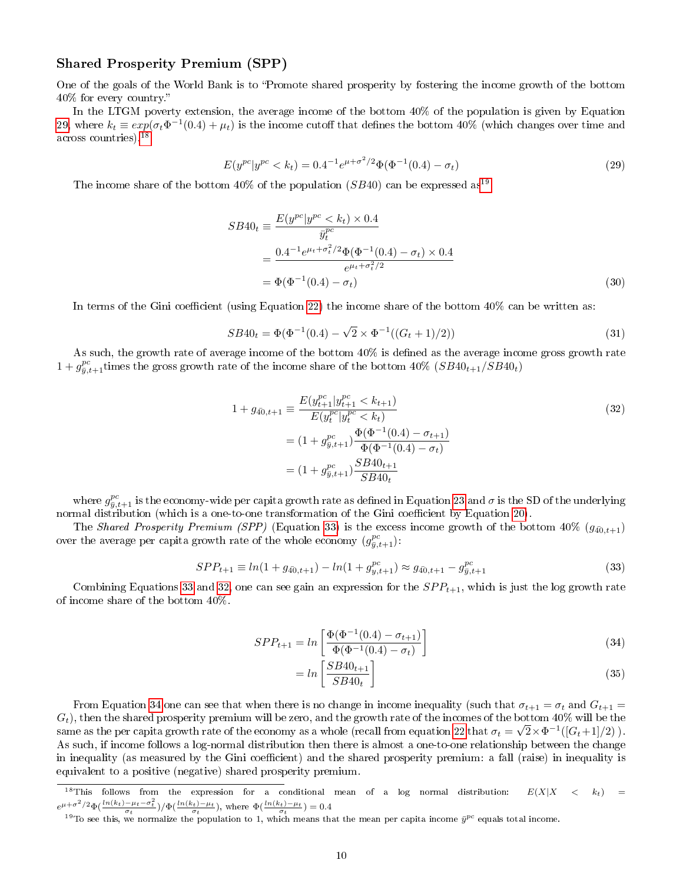### Shared Prosperity Premium (SPP)

One of the goals of the World Bank is to Promote shared prosperity by fostering the income growth of the bottom 40% for every country.

In the LTGM poverty extension, the average income of the bottom 40% of the population is given by Equation [29,](#page-9-0) where  $k_t \equiv exp(\sigma_t \Phi^{-1}(0.4) + \mu_t)$  is the income cutoff that defines the bottom 40% (which changes over time and across countries).[18](#page-9-1)

<span id="page-9-0"></span>
$$
E(y^{pc}|y^{pc} < k_t) = 0.4^{-1}e^{\mu + \sigma^2/2}\Phi(\Phi^{-1}(0.4) - \sigma_t) \tag{29}
$$

The income share of the bottom  $40\%$  of the population (SB40) can be expressed as<sup>[19](#page-9-2)</sup>

$$
SB40_t \equiv \frac{E(y^{pc}|y^{pc} < k_t) \times 0.4}{\bar{y}_t^{pc}}
$$
  
= 
$$
\frac{0.4^{-1}e^{\mu_t + \sigma_t^2/2}\Phi(\Phi^{-1}(0.4) - \sigma_t) \times 0.4}{e^{\mu_t + \sigma_t^2/2}}
$$
  
= 
$$
\Phi(\Phi^{-1}(0.4) - \sigma_t)
$$
 (30)

In terms of the Gini coefficient (using Equation [22\)](#page-7-7) the income share of the bottom  $40\%$  can be written as:

<span id="page-9-6"></span>
$$
SB40_t = \Phi(\Phi^{-1}(0.4) - \sqrt{2} \times \Phi^{-1}((G_t + 1)/2))
$$
\n(31)

As such, the growth rate of average income of the bottom  $40\%$  is defined as the average income gross growth rate  $1 + g_{\bar{y},t+1}^{\text{pc}}$  times the gross growth rate of the income share of the bottom  $40\%$   $(SB40_{t+1}/SB40_t)$ 

<span id="page-9-4"></span>
$$
1 + g_{40,t+1} \equiv \frac{E(y_{t+1}^{pc}|y_{t+1}^{pc} < k_{t+1})}{E(y_t^{pc}|y_t^{pc} < k_t)}
$$
  
= 
$$
(1 + g_{y,t+1}^{pc}) \frac{\Phi(\Phi^{-1}(0.4) - \sigma_{t+1})}{\Phi(\Phi^{-1}(0.4) - \sigma_t)}
$$
  
= 
$$
(1 + g_{y,t+1}^{pc}) \frac{SB40_{t+1}}{SB40_t}
$$
 (32)

where  $g_{\bar{y},t+1}^{pc}$  is the economy-wide per capita growth rate as defined in Equation [23](#page-7-5) and  $\sigma$  is the SD of the underlying normal distribution (which is a one-to-one transformation of the Gini coefficient by Equation [20\)](#page-7-4).

The Shared Prosperity Premium (SPP) (Equation [33\)](#page-9-3) is the excess income growth of the bottom  $40\%$  ( $g_{40,t+1}$ ) over the average per capita growth rate of the whole economy  $(g_{\bar{y},t+1}^{pc})$ :

<span id="page-9-3"></span>
$$
SPP_{t+1} \equiv ln(1 + g_{40,t+1}) - ln(1 + g_{y,t+1}^{pc}) \approx g_{40,t+1} - g_{\bar{y},t+1}^{pc}
$$
\n(33)

Combining Equations [33](#page-9-3) and [32,](#page-9-4) one can see gain an expression for the  $SPP_{t+1}$ , which is just the log growth rate of income share of the bottom 40%.

$$
SPP_{t+1} = \ln \left[ \frac{\Phi(\Phi^{-1}(0.4) - \sigma_{t+1})}{\Phi(\Phi^{-1}(0.4) - \sigma_t)} \right]
$$
\n(34)

<span id="page-9-5"></span>
$$
=ln\left[\frac{SB40_{t+1}}{SB40_t}\right]
$$
\n(35)

From Equation [34](#page-9-5) one can see that when there is no change in income inequality (such that  $\sigma_{t+1} = \sigma_t$  and  $G_{t+1} =$  $G_t$ ), then the shared prosperity premium will be zero, and the growth rate of the incomes of the bottom  $40\%$  will be the same as the per capita growth rate of the economy as a whole (recall from equation [22](#page-7-7) that  $\sigma_t=\sqrt{2}\times\Phi^{-1}([G_t+1]/2)$  ). As such, if income follows a log-normal distribution then there is almost a one-to-one relationship between the change in inequality (as measured by the Gini coefficient) and the shared prosperity premium: a fall (raise) in inequality is equivalent to a positive (negative) shared prosperity premium.

<span id="page-9-1"></span><sup>&</sup>lt;sup>18</sup>This follows from the expression for a conditional mean of a log normal distribution:  $E(X|X < k<sub>t</sub>)$  =  $e^{\mu+\sigma^2/2}\Phi(\frac{\ln(k_t)-\mu_t-\sigma_t^2}{\sigma_t})/\Phi(\frac{\ln(k_t)-\mu_t}{\sigma_t}),$  where  $\Phi(\frac{\ln(k_t)-\mu_t}{\sigma_t})=0.4$ 

<span id="page-9-2"></span><sup>&</sup>lt;sup>19</sup>To see this, we normalize the population to 1, which means that the mean per capita income  $\bar{y}^{pc}$  equals total income.